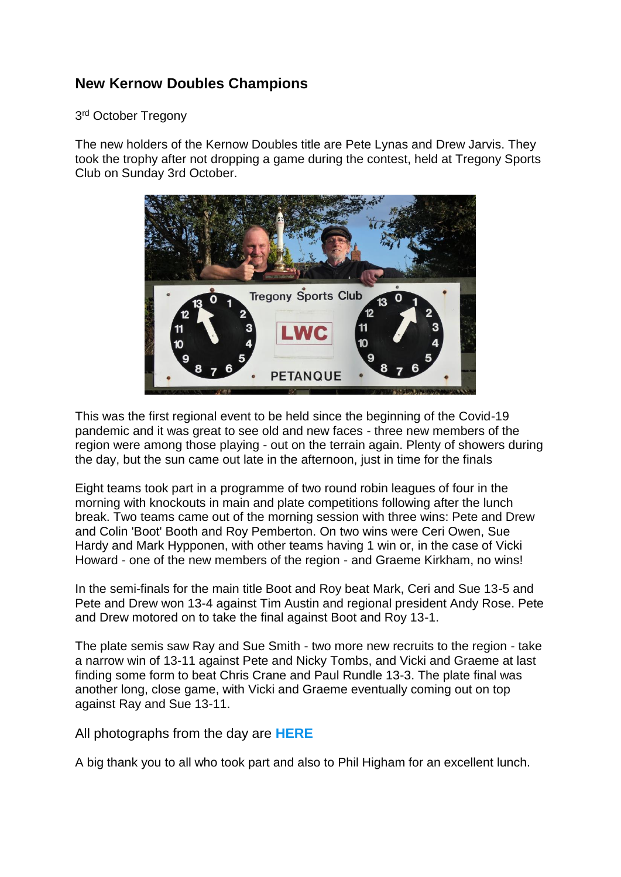## **New Kernow Doubles Champions**

## 3<sup>rd</sup> October Tregony

The new holders of the Kernow Doubles title are Pete Lynas and Drew Jarvis. They took the trophy after not dropping a game during the contest, held at Tregony Sports Club on Sunday 3rd October.



This was the first regional event to be held since the beginning of the Covid-19 pandemic and it was great to see old and new faces - three new members of the region were among those playing - out on the terrain again. Plenty of showers during the day, but the sun came out late in the afternoon, just in time for the finals

Eight teams took part in a programme of two round robin leagues of four in the morning with knockouts in main and plate competitions following after the lunch break. Two teams came out of the morning session with three wins: Pete and Drew and Colin 'Boot' Booth and Roy Pemberton. On two wins were Ceri Owen, Sue Hardy and Mark Hypponen, with other teams having 1 win or, in the case of Vicki Howard - one of the new members of the region - and Graeme Kirkham, no wins!

In the semi-finals for the main title Boot and Roy beat Mark, Ceri and Sue 13-5 and Pete and Drew won 13-4 against Tim Austin and regional president Andy Rose. Pete and Drew motored on to take the final against Boot and Roy 13-1.

The plate semis saw Ray and Sue Smith - two more new recruits to the region - take a narrow win of 13-11 against Pete and Nicky Tombs, and Vicki and Graeme at last finding some form to beat Chris Crane and Paul Rundle 13-3. The plate final was another long, close game, with Vicki and Graeme eventually coming out on top against Ray and Sue 13-11.

All photographs from the day are **[HERE](https://cornwallpetanque.co.uk/kernow-petanque-doubles-2021)**

A big thank you to all who took part and also to Phil Higham for an excellent lunch.